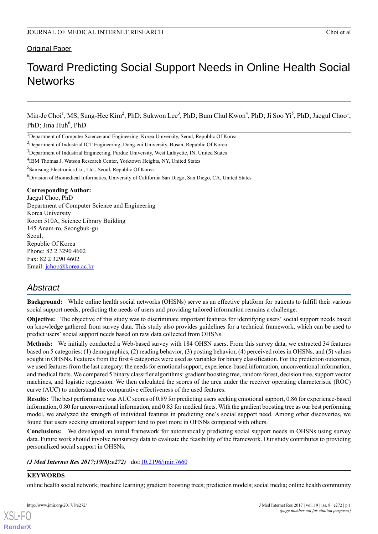## Original Paper

# Toward Predicting Social Support Needs in Online Health Social **Networks**

Min-Je Choi<sup>1</sup>, MS; Sung-Hee Kim<sup>2</sup>, PhD; Sukwon Lee<sup>3</sup>, PhD; Bum Chul Kwon<sup>4</sup>, PhD; Ji Soo Yi<sup>5</sup>, PhD; Jaegul Choo<sup>1</sup>, PhD; Jina Huh<sup>6</sup>, PhD

<sup>1</sup>Department of Computer Science and Engineering, Korea University, Seoul, Republic Of Korea

<sup>2</sup>Department of Industrial ICT Engineering, Dong-eui University, Busan, Republic Of Korea

<sup>3</sup>Department of Industrial Engineering, Purdue University, West Lafayette, IN, United States

<sup>4</sup>IBM Thomas J. Watson Research Center, Yorktown Heights, NY, United States

5 Samsung Electronics Co., Ltd., Seoul, Republic Of Korea

<sup>6</sup>Division of Biomedical Informatics, University of California San Diego, San Diego, CA, United States

#### **Corresponding Author:**

Jaegul Choo, PhD Department of Computer Science and Engineering Korea University Room 510A, Science Library Building 145 Anam-ro, Seongbuk-gu Seoul, Republic Of Korea Phone: 82 2 3290 4602 Fax: 82 2 3290 4602 Email: [jchoo@korea.ac.kr](mailto:jchoo@korea.ac.kr)

## *Abstract*

**Background:** While online health social networks (OHSNs) serve as an effective platform for patients to fulfill their various social support needs, predicting the needs of users and providing tailored information remains a challenge.

**Objective:** The objective of this study was to discriminate important features for identifying users' social support needs based on knowledge gathered from survey data. This study also provides guidelines for a technical framework, which can be used to predict users' social support needs based on raw data collected from OHSNs.

**Methods:** We initially conducted a Web-based survey with 184 OHSN users. From this survey data, we extracted 34 features based on 5 categories: (1) demographics, (2) reading behavior, (3) posting behavior, (4) perceived roles in OHSNs, and (5) values sought in OHSNs. Features from the first 4 categories were used as variables for binary classification. For the prediction outcomes, we used features from the last category: the needs for emotional support, experience-based information, unconventional information, and medical facts. We compared 5 binary classifier algorithms: gradient boosting tree, random forest, decision tree, support vector machines, and logistic regression. We then calculated the scores of the area under the receiver operating characteristic (ROC) curve (AUC) to understand the comparative effectiveness of the used features.

**Results:** The best performance was AUC scores of 0.89 for predicting users seeking emotional support, 0.86 for experience-based information, 0.80 for unconventional information, and 0.83 for medical facts. With the gradient boosting tree as our best performing model, we analyzed the strength of individual features in predicting one's social support need. Among other discoveries, we found that users seeking emotional support tend to post more in OHSNs compared with others.

**Conclusions:** We developed an initial framework for automatically predicting social support needs in OHSNs using survey data. Future work should involve nonsurvey data to evaluate the feasibility of the framework. Our study contributes to providing personalized social support in OHSNs.

#### *(J Med Internet Res 2017;19(8):e272)* doi:[10.2196/jmir.7660](http://dx.doi.org/10.2196/jmir.7660)

#### **KEYWORDS**

[XSL](http://www.w3.org/Style/XSL)•FO **[RenderX](http://www.renderx.com/)**

online health social network; machine learning; gradient boosting trees; prediction models; social media; online health community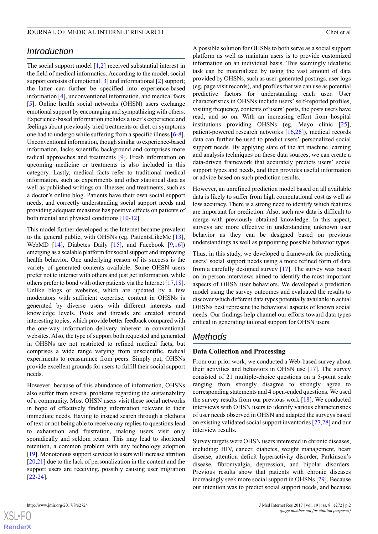## *Introduction*

The social support model  $[1,2]$  $[1,2]$  $[1,2]$  $[1,2]$  received substantial interest in the field of medical informatics. According to the model, social support consists of emotional [[3\]](#page-7-2) and informational [[2\]](#page-7-1) support; the latter can further be specified into experience-based information [[4\]](#page-7-3), unconventional information, and medical facts [[5\]](#page-7-4). Online health social networks (OHSN) users exchange emotional support by encouraging and sympathizing with others. Experience-based information includes a user's experience and feelings about previously tried treatments or diet, or symptoms one had to undergo while suffering from a specific illness [\[6-](#page-7-5)[8\]](#page-7-6). Unconventional information, though similar to experience-based information, lacks scientific background and comprises more radical approaches and treatments [[9\]](#page-7-7). Fresh information on upcoming medicine or treatments is also included in this category. Lastly, medical facts refer to traditional medical information, such as experiments and other statistical data as well as published writings on illnesses and treatments, such as a doctor's online blog. Patients have their own social support needs, and correctly understanding social support needs and providing adequate measures has positive effects on patients of both mental and physical conditions [[10-](#page-7-8)[12\]](#page-8-0).

This model further developed as the Internet became prevalent to the general public, with OHSNs (eg, PatientsLikeMe [[13\]](#page-8-1), WebMD [[14\]](#page-8-2), Diabetes Daily [\[15](#page-8-3)], and Facebook [[9](#page-7-7),[16\]](#page-8-4)) emerging as a scalable platform for social support and improving health behavior. One underlying reason of its success is the variety of generated contents available. Some OHSN users prefer not to interact with others and just get information, while others prefer to bond with other patients via the Internet [[17,](#page-8-5)[18\]](#page-8-6). Unlike blogs or websites, which are updated by a few moderators with sufficient expertise, content in OHSNs is generated by diverse users with different interests and knowledge levels. Posts and threads are created around interesting topics, which provide better feedback compared with the one-way information delivery inherent in conventional websites. Also, the type of support both requested and generated in OHSNs are not restricted to refined medical facts, but comprises a wide range varying from unscientific, radical experiments to reassurance from peers. Simply put, OHSNs provide excellent grounds for users to fulfill their social support needs.

However, because of this abundance of information, OHSNs also suffer from several problems regarding the sustainability of a community. Most OHSN users visit these social networks in hope of effectively finding information relevant to their immediate needs. Having to instead search through a plethora of text or not being able to receive any replies to questions lead to exhaustion and frustration, making users visit only sporadically and seldom return. This may lead to shortened retention, a common problem with any technology adoption [[19\]](#page-8-7). Monotonous support services to users will increase attrition [[20](#page-8-8)[,21](#page-8-9)] due to the lack of personalization in the content and the support users are receiving, possibly causing user migration [[22](#page-8-10)[-24](#page-8-11)].

A possible solution for OHSNs to both serve as a social support platform as well as maintain users is to provide customized information on an individual basis. This seemingly idealistic task can be materialized by using the vast amount of data provided by OHSNs, such as user-generated postings, user logs (eg, page visit records), and profiles that we can use as potential predictive factors for understanding each user. User characteristics in OHSNs include users' self-reported profiles, visiting frequency, contents of users' posts, the posts users have read, and so on. With an increasing effort from hospital institutions providing OHSNs (eg, Mayo clinic [[25\]](#page-8-12), patient-powered research networks [[16](#page-8-4)[,26](#page-8-13)]), medical records data can further be used to predict users' personalized social support needs. By applying state of the art machine learning and analysis techniques on these data sources, we can create a data-driven framework that accurately predicts users' social support types and needs, and then provides useful information or advice based on such prediction results.

However, an unrefined prediction model based on all available data is likely to suffer from high computational cost as well as low accuracy. There is a strong need to identify which features are important for prediction. Also, such raw data is difficult to merge with previously obtained knowledge. In this aspect, surveys are more effective in understanding unknown user behavior as they can be designed based on previous understandings as well as pinpointing possible behavior types.

Thus, in this study, we developed a framework for predicting users' social support needs using a more refined form of data from a carefully designed survey [\[17](#page-8-5)]. The survey was based on in-person interviews aimed to identify the most important aspects of OHSN user behaviors. We developed a prediction model using the survey outcomes and evaluated the results to discover which different data types potentially available in actual OHSNs best represent the behavioral aspects of known social needs. Our findings help channel our efforts toward data types critical in generating tailored support for OHSN users.

## *Methods*

#### **Data Collection and Processing**

From our prior work, we conducted a Web-based survey about their activities and behaviors in OHSN use [[17\]](#page-8-5). The survey consisted of 21 multiple-choice questions on a 5-point scale ranging from strongly disagree to strongly agree to corresponding statements and 4 open-ended questions. We used the survey results from our previous work [[18\]](#page-8-6). We conducted interviews with OHSN users to identify various characteristics of user needs observed in OHSN and adapted the surveys based on existing validated social support inventories [\[27](#page-8-14),[28\]](#page-8-15) and our interview results.

Survey targets were OHSN users interested in chronic diseases, including: HIV, cancer, diabetes, weight management, heart disease, attention deficit hyperactivity disorder, Parkinson's disease, fibromyalgia, depression, and bipolar disorders. Previous results show that patients with chronic diseases increasingly seek more social support in OHSNs [[29\]](#page-8-16). Because our intention was to predict social support needs, and because

```
XSL•FO
RenderX
```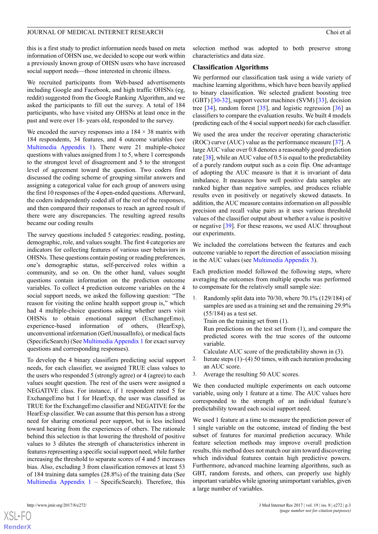this is a first study to predict information needs based on meta information of OHSN use, we decided to scope our work within a previously known group of OHSN users who have increased social support needs—those interested in chronic illness.

We recruited participants from Web-based advertisements including Google and Facebook, and high traffic OHSNs (eg, reddit) suggested from the Google Ranking Algorithm, and we asked the participants to fill out the survey. A total of 184 participants, who have visited any OHSNs at least once in the past and were over 18- years old, responded to the survey.

We encoded the survey responses into a  $184 \times 38$  matrix with 184 respondents, 34 features, and 4 outcome variables (see [Multimedia Appendix 1\)](#page-7-9). There were 21 multiple-choice questions with values assigned from 1 to 5, where 1 corresponds to the strongest level of disagreement and 5 to the strongest level of agreement toward the question. Two coders first discussed the coding scheme of grouping similar answers and assigning a categorical value for each group of answers using the first 10 responses of the 4 open-ended questions. Afterward, the coders independently coded all of the rest of the responses, and then compared their responses to reach an agreed result if there were any discrepancies. The resulting agreed results became our coding results

The survey questions included 5 categories: reading, posting, demographic, role, and values sought. The first 4 categories are indicators for collecting features of various user behaviors in OHSNs. These questions contain posting or reading preferences, one's demographic status, self-perceived roles within a community, and so on. On the other hand, values sought questions contain information on the prediction outcome variables. To collect 4 prediction outcome variables on the 4 social support needs, we asked the following question: "The reason for visiting the online health support group is," which had 4 multiple-choice questions asking whether users visit OHSNs to obtain emotional support (ExchangeEmo), experience-based information of others, (HearExp), unconventional information (GetUnusualInfo), or medical facts (SpecificSearch) (See [Multimedia Appendix 1](#page-7-9) for exact survey questions and corresponding responses).

To develop the 4 binary classifiers predicting social support needs, for each classifier, we assigned TRUE class values to the users who responded 5 (strongly agree) or 4 (agree) to each values sought question. The rest of the users were assigned a NEGATIVE class. For instance, if 1 respondent rated 5 for ExchangeEmo but 1 for HearExp, the user was classified as TRUE for the ExchangeEmo classifier and NEGATIVE for the HearExp classifier. We can assume that this person has a strong need for sharing emotional peer support, but is less inclined toward hearing from the experiences of others. The rationale behind this selection is that lowering the threshold of positive values to 3 dilutes the strength of characteristics inherent in features representing a specific social support need, while further increasing the threshold to separate scores of 4 and 5 increases bias. Also, excluding 3 from classification removes at least 53 of 184 training data samples (28.8%) of the training data (See [Multimedia Appendix 1](#page-7-9) – SpecificSearch). Therefore, this selection method was adopted to both preserve strong characteristics and data size.

#### **Classification Algorithms**

We performed our classification task using a wide variety of machine learning algorithms, which have been heavily applied to binary classification. We selected gradient boosting tree (GBT) [[30](#page-8-17)[-32](#page-8-18)], support vector machines (SVM) [\[33](#page-8-19)], decision tree  $[34]$  $[34]$ , random forest  $[35]$  $[35]$ , and logistic regression  $[36]$  $[36]$  as classifiers to compare the evaluation results. We built 4 models (predicting each of the 4 social support needs) for each classifier.

We used the area under the receiver operating characteristic (ROC) curve (AUC) value as the performance measure [[37\]](#page-8-23). A large AUC value over 0.8 denotes a reasonably good prediction rate [\[38](#page-8-24)], while an AUC value of 0.5 is equal to the predictability of a purely random output such as a coin flip. One advantage of adopting the AUC measure is that it is invariant of data imbalance. It measures how well positive data samples are ranked higher than negative samples, and produces reliable results even in positively or negatively skewed datasets. In addition, the AUC measure contains information on all possible precision and recall value pairs as it uses various threshold values of the classifier output about whether a value is positive or negative [[39\]](#page-8-25). For these reasons, we used AUC throughout our experiments.

We included the correlations between the features and each outcome variable to report the direction of association missing in the AUC values (see [Multimedia Appendix 3\)](#page-7-10).

Each prediction model followed the following steps, where averaging the outcomes from multiple epochs was performed to compensate for the relatively small sample size:

1. Randomly split data into 70/30, where 70.1% (129/184) of samples are used as a training set and the remaining 29.9% (55/184) as a test set.

Train on the training set from (1).

Run predictions on the test set from (1), and compare the predicted scores with the true scores of the outcome variable.

Calculate AUC score of the predictability shown in (3).

- 2. Iterate steps  $(1)$   $\sim$  (4) 50 times, with each iteration producing an AUC score.
- 3. Average the resulting 50 AUC scores.

We then conducted multiple experiments on each outcome variable, using only 1 feature at a time. The AUC values here corresponded to the strength of an individual feature's predictability toward each social support need.

We used 1 feature at a time to measure the prediction power of 1 single variable on the outcome, instead of finding the best subset of features for maximal prediction accuracy. While feature selection methods may improve overall prediction results, this method does not match our aim toward discovering which individual features contain high predictive powers. Furthermore, advanced machine learning algorithms, such as GBT, random forests, and others, can properly use highly important variables while ignoring unimportant variables, given a large number of variables.

 $XS$  $\cdot$ FC **[RenderX](http://www.renderx.com/)**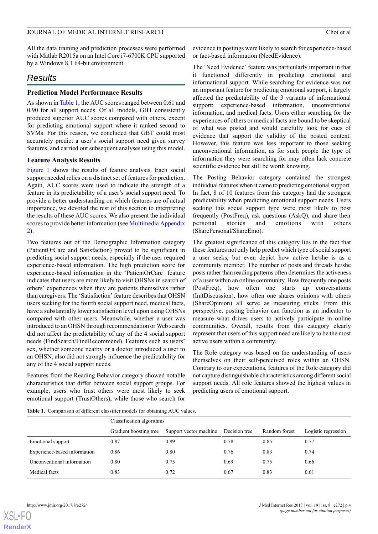All the data training and prediction processes were performed with Matlab R2015a on an Intel Core i7-6700K CPU supported by a Windows 8.1 64-bit environment.

## *Results*

#### **Prediction Model Performance Results**

As shown in [Table 1](#page-3-0), the AUC scores ranged between 0.61 and 0.90 for all support needs. Of all models, GBT consistently produced superior AUC scores compared with others, except for predicting emotional support where it ranked second to SVMs. For this reason, we concluded that GBT could most accurately predict a user's social support need given survey features, and carried out subsequent analyses using this model.

#### **Feature Analysis Results**

[Figure 1](#page-4-0) shows the results of feature analysis. Each social support needed relies on a distinct set of features for prediction. Again, AUC scores were used to indicate the strength of a feature in its predictability of a user's social support need. To provide a better understanding on which features are of actual importance, we devoted the rest of this section to interpreting the results of these AUC scores. We also present the individual scores to provide better information (see [Multimedia Appendix](#page-7-11) [2\)](#page-7-11).

Two features out of the Demographic Information category (PatientOrCare and Satisfaction) proved to be significant in predicting social support needs, especially if the user required experience-based information. The high prediction score for experience-based information in the 'PatientOrCare' feature indicates that users are more likely to visit OHSNs in search of others' experiences when they are patients themselves rather than caregivers. The 'Satisfaction' feature describes that OHSN users seeking for the fourth social support need, medical facts, have a substantially lower satisfaction level upon using OHSNs compared with other users. Meanwhile, whether a user was introduced to an OHSN through recommendation or Web search did not affect the predictability of any of the 4 social support needs (FindSearch/FindRecommend). Features such as users' sex, whether someone nearby or a doctor introduced a user to an OHSN, also did not strongly influence the predictability for any of the 4 social support needs.

<span id="page-3-0"></span>Features from the Reading Behavior category showed notable characteristics that differ between social support groups. For example, users who trust others were most likely to seek emotional support (TrustOthers), while those who search for evidence in postings were likely to search for experience-based or fact-based information (NeedEvidence).

The 'Need Evidence' feature was particularly important in that it functioned differently in predicting emotional and informational support. While searching for evidence was not an important feature for predicting emotional support, it largely affected the predictability of the 3 variants of informational support: experience-based information, unconventional information, and medical facts. Users either searching for the experiences of others or medical facts are bound to be skeptical of what was posted and would carefully look for cues of evidence that support the validity of the posted content. However, this feature was less important to those seeking unconventional information, as for such people the type of information they were searching for may often lack concrete scientific evidence but still be worth knowing.

The Posting Behavior category contained the strongest individual features when it came to predicting emotional support. In fact, 8 of 10 features from this category had the strongest predictability when predicting emotional support needs. Users seeking this social support type were most likely to post frequently (PostFreq), ask questions (AskQ), and share their personal stories and emotions with others (SharePersonal/ShareEmo).

The greatest significance of this category lies in the fact that these features not only help predict which type of social support a user seeks, but even depict how active he/she is as a community member. The number of posts and threads he/she posts rather than reading patterns often determines the activeness of a user within an online community. How frequently one posts (PostFreq), how often one starts up conversations (InitDiscussion), how often one shares opinions with others (ShareOpinion) all serve as measuring sticks. From this perspective, posting behavior can function as an indicator to measure what drives users to actively participate in online communities. Overall, results from this category clearly represent that users of this support need are likely to be the most active users within a community.

The Role category was based on the understanding of users themselves on their self-perceived roles within an OHSN. Contrary to our expectations, features of the Role category did not capture distinguishable characteristics among different social support needs. All role features showed the highest values in predicting users of emotional support.

**Table 1.** Comparison of different classifier models for obtaining AUC values.

|                              | Classification algorithms |                        |               |               |                     |  |
|------------------------------|---------------------------|------------------------|---------------|---------------|---------------------|--|
|                              | Gradient boosting tree    | Support vector machine | Decision tree | Random forest | Logistic regression |  |
| Emotional support            | 0.87                      | 0.89                   | 0.78          | 0.85          | 0.77                |  |
| Experience-based information | 0.86                      | 0.80                   | 0.76          | 0.83          | 0.74                |  |
| Unconventional information   | 0.80                      | 0.75                   | 0.69          | 0.75          | 0.66                |  |
| Medical facts                | 0.83                      | 0.72                   | 0.67          | 0.83          | 0.61                |  |

[XSL](http://www.w3.org/Style/XSL)•FO **[RenderX](http://www.renderx.com/)**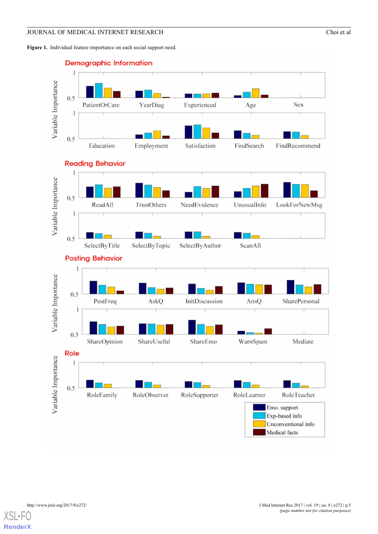<span id="page-4-0"></span>



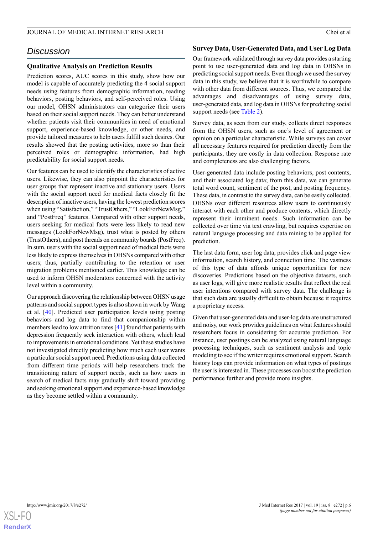## *Discussion*

#### **Qualitative Analysis on Prediction Results**

Prediction scores, AUC scores in this study, show how our model is capable of accurately predicting the 4 social support needs using features from demographic information, reading behaviors, posting behaviors, and self-perceived roles. Using our model, OHSN administrators can categorize their users based on their social support needs. They can better understand whether patients visit their communities in need of emotional support, experience-based knowledge, or other needs, and provide tailored measures to help users fulfill such desires. Our results showed that the posting activities, more so than their perceived roles or demographic information, had high predictability for social support needs.

Our features can be used to identify the characteristics of active users. Likewise, they can also pinpoint the characteristics for user groups that represent inactive and stationary users. Users with the social support need for medical facts closely fit the description of inactive users, having the lowest prediction scores when using "Satisfaction," "TrustOthers," "LookForNewMsg," and "PostFreq" features. Compared with other support needs, users seeking for medical facts were less likely to read new messages (LookForNewMsg), trust what is posted by others (TrustOthers), and post threads on community boards (PostFreq). In sum, users with the social support need of medical facts were less likely to express themselves in OHSNs compared with other users; thus, partially contributing to the retention or user migration problems mentioned earlier. This knowledge can be used to inform OHSN moderators concerned with the activity level within a community.

Our approach discovering the relationship between OHSN usage patterns and social support types is also shown in work by Wang et al. [\[40](#page-9-0)]. Predicted user participation levels using posting behaviors and log data to find that companionship within members lead to low attrition rates [[41\]](#page-9-1) found that patients with depression frequently seek interaction with others, which lead to improvements in emotional conditions. Yet these studies have not investigated directly predicting how much each user wants a particular social support need. Predictions using data collected from different time periods will help researchers track the transitioning nature of support needs, such as how users in search of medical facts may gradually shift toward providing and seeking emotional support and experience-based knowledge as they become settled within a community.

#### **Survey Data, User-Generated Data, and User Log Data**

Our framework validated through survey data provides a starting point to use user-generated data and log data in OHSNs in predicting social support needs. Even though we used the survey data in this study, we believe that it is worthwhile to compare with other data from different sources. Thus, we compared the advantages and disadvantages of using survey data, user-generated data, and log data in OHSNs for predicting social support needs (see [Table 2\)](#page-6-0).

Survey data, as seen from our study, collects direct responses from the OHSN users, such as one's level of agreement or opinion on a particular characteristic. While surveys can cover all necessary features required for prediction directly from the participants, they are costly in data collection. Response rate and completeness are also challenging factors.

User-generated data include posting behaviors, post contents, and their associated log data; from this data, we can generate total word count, sentiment of the post, and posting frequency. These data, in contrast to the survey data, can be easily collected. OHSNs over different resources allow users to continuously interact with each other and produce contents, which directly represent their imminent needs. Such information can be collected over time via text crawling, but requires expertise on natural language processing and data mining to be applied for prediction.

The last data form, user log data, provides click and page view information, search history, and connection time. The vastness of this type of data affords unique opportunities for new discoveries. Predictions based on the objective datasets, such as user logs, will give more realistic results that reflect the real user intentions compared with survey data. The challenge is that such data are usually difficult to obtain because it requires a proprietary access.

Given that user-generated data and user-log data are unstructured and noisy, our work provides guidelines on what features should researchers focus in considering for accurate prediction. For instance, user postings can be analyzed using natural language processing techniques, such as sentiment analysis and topic modeling to see if the writer requires emotional support. Search history logs can provide information on what types of postings the user is interested in. These processes can boost the prediction performance further and provide more insights.

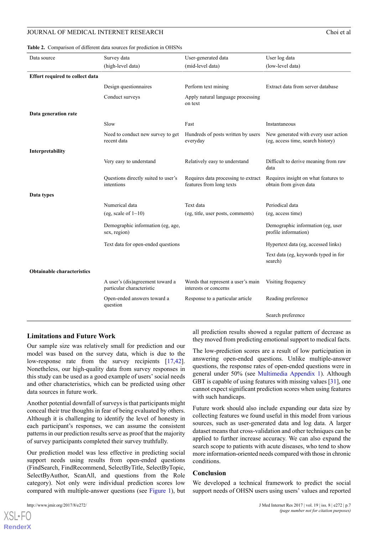#### <span id="page-6-0"></span>**Table 2.** Comparison of different data sources for prediction in OHSNs

| Data source                       | Survey data                                                   | User-generated data                                             | User log data                                                             |  |
|-----------------------------------|---------------------------------------------------------------|-----------------------------------------------------------------|---------------------------------------------------------------------------|--|
|                                   | (high-level data)                                             | (mid-level data)                                                | (low-level data)                                                          |  |
| Effort required to collect data   |                                                               |                                                                 |                                                                           |  |
|                                   | Design questionnaires                                         | Perform text mining                                             | Extract data from server database                                         |  |
|                                   | Conduct surveys                                               | Apply natural language processing<br>on text                    |                                                                           |  |
| Data generation rate              |                                                               |                                                                 |                                                                           |  |
|                                   | Slow                                                          | Fast                                                            | Instantaneous                                                             |  |
|                                   | Need to conduct new survey to get<br>recent data              | Hundreds of posts written by users<br>everyday                  | New generated with every user action<br>(eg, access time, search history) |  |
| Interpretability                  |                                                               |                                                                 |                                                                           |  |
|                                   | Very easy to understand                                       | Relatively easy to understand                                   | Difficult to derive meaning from raw<br>data                              |  |
|                                   | Questions directly suited to user's<br>intentions             | Requires data processing to extract<br>features from long texts | Requires insight on what features to<br>obtain from given data            |  |
| Data types                        |                                                               |                                                                 |                                                                           |  |
|                                   | Numerical data                                                | Text data                                                       | Periodical data                                                           |  |
|                                   | (eg, scale of $1 \sim 10$ )                                   | (eg, title, user posts, comments)                               | (eg, access time)                                                         |  |
|                                   | Demographic information (eg, age,<br>sex, region)             |                                                                 | Demographic information (eg, user<br>profile information)                 |  |
|                                   | Text data for open-ended questions                            |                                                                 | Hypertext data (eg. accessed links)                                       |  |
|                                   |                                                               |                                                                 | Text data (eg, keywords typed in for<br>search)                           |  |
| <b>Obtainable characteristics</b> |                                                               |                                                                 |                                                                           |  |
|                                   | A user's (dis)agreement toward a<br>particular characteristic | Words that represent a user's main<br>interests or concerns     | Visiting frequency                                                        |  |
|                                   | Open-ended answers toward a<br>question                       | Response to a particular article                                | Reading preference                                                        |  |
|                                   |                                                               |                                                                 | Search preference                                                         |  |
|                                   |                                                               |                                                                 |                                                                           |  |

#### **Limitations and Future Work**

Our sample size was relatively small for prediction and our model was based on the survey data, which is due to the low-response rate from the survey recipients [\[17](#page-8-5),[42\]](#page-9-2). Nonetheless, our high-quality data from survey responses in this study can be used as a good example of users' social needs and other characteristics, which can be predicted using other data sources in future work.

Another potential downfall of surveys is that participants might conceal their true thoughts in fear of being evaluated by others. Although it is challenging to identify the level of honesty in each participant's responses, we can assume the consistent patterns in our prediction results serve as proof that the majority of survey participants completed their survey truthfully.

Our prediction model was less effective in predicting social support needs using results from open-ended questions (FindSearch, FindRecommend, SelectByTitle, SelectByTopic, SelectByAuthor, ScanAll, and questions from the Role category). Not only were individual prediction scores low compared with multiple-answer questions (see [Figure 1\)](#page-4-0), but

[XSL](http://www.w3.org/Style/XSL)•FO **[RenderX](http://www.renderx.com/)**

all prediction results showed a regular pattern of decrease as they moved from predicting emotional support to medical facts.

The low-prediction scores are a result of low participation in answering open-ended questions. Unlike multiple-answer questions, the response rates of open-ended questions were in general under 50% (see [Multimedia Appendix 1](#page-7-9)). Although GBT is capable of using features with missing values [\[31](#page-8-26)], one cannot expect significant prediction scores when using features with such handicaps.

Future work should also include expanding our data size by collecting features we found useful in this model from various sources, such as user-generated data and log data. A larger dataset means that cross-validation and other techniques can be applied to further increase accuracy. We can also expand the search scope to patients with acute diseases, who tend to show more information-oriented needs compared with those in chronic conditions.

#### **Conclusion**

We developed a technical framework to predict the social support needs of OHSN users using users' values and reported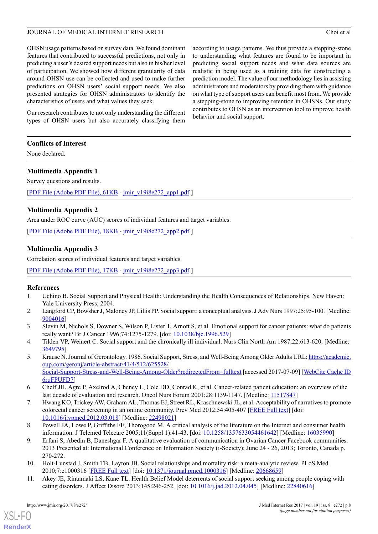OHSN usage patterns based on survey data. We found dominant features that contributed to successful predictions, not only in predicting a user's desired support needs but also in his/her level of participation. We showed how different granularity of data around OHSN use can be collected and used to make further predictions on OHSN users' social support needs. We also presented strategies for OHSN administrators to identify the characteristics of users and what values they seek.

Our research contributes to not only understanding the different types of OHSN users but also accurately classifying them according to usage patterns. We thus provide a stepping-stone to understanding what features are found to be important in predicting social support needs and what data sources are realistic in being used as a training data for constructing a prediction model. The value of our methodology lies in assisting administrators and moderators by providing them with guidance on what type of support users can benefit most from. We provide a stepping-stone to improving retention in OHSNs. Our study contributes to OHSN as an intervention tool to improve health behavior and social support.

#### **Conflicts of Interest**

<span id="page-7-9"></span>None declared.

#### **Multimedia Appendix 1**

Survey questions and results.

<span id="page-7-11"></span>[[PDF File \(Adobe PDF File\), 61KB](http://www.jmir.org/article/downloadSuppFile/7660/52859) - [jmir\\_v19i8e272\\_app1.pdf](http://www.jmir.org/article/downloadSuppFile/7660/52859) ]

### **Multimedia Appendix 2**

<span id="page-7-10"></span>Area under ROC curve (AUC) scores of individual features and target variables.

[[PDF File \(Adobe PDF File\), 18KB](http://www.jmir.org/article/downloadSuppFile/7660/52860) - [jmir\\_v19i8e272\\_app2.pdf](http://www.jmir.org/article/downloadSuppFile/7660/52860) ]

### **Multimedia Appendix 3**

Correlation scores of individual features and target variables.

<span id="page-7-0"></span>[[PDF File \(Adobe PDF File\), 17KB](http://www.jmir.org/article/downloadSuppFile/7660/52861) - [jmir\\_v19i8e272\\_app3.pdf](http://www.jmir.org/article/downloadSuppFile/7660/52861) ]

#### <span id="page-7-1"></span>**References**

- <span id="page-7-2"></span>1. Uchino B. Social Support and Physical Health: Understanding the Health Consequences of Relationships. New Haven: Yale University Press; 2004.
- <span id="page-7-3"></span>2. Langford CP, Bowsher J, Maloney JP, Lillis PP. Social support: a conceptual analysis. J Adv Nurs 1997;25:95-100. [Medline: [9004016\]](http://www.ncbi.nlm.nih.gov/entrez/query.fcgi?cmd=Retrieve&db=PubMed&list_uids=9004016&dopt=Abstract)
- <span id="page-7-4"></span>3. Slevin M, Nichols S, Downer S, Wilson P, Lister T, Arnott S, et al. Emotional support for cancer patients: what do patients really want? Br J Cancer 1996;74:1275-1279. [doi: [10.1038/bjc.1996.529](http://dx.doi.org/10.1038/bjc.1996.529)]
- <span id="page-7-5"></span>4. Tilden VP, Weinert C. Social support and the chronically ill individual. Nurs Clin North Am 1987;22:613-620. [Medline: [3649795\]](http://www.ncbi.nlm.nih.gov/entrez/query.fcgi?cmd=Retrieve&db=PubMed&list_uids=3649795&dopt=Abstract)
- 5. Krause N. Journal of Gerontology. 1986. Social Support, Stress, and Well-Being Among Older Adults URL: [https://academic.](https://academic.oup.com/geronj/article-abstract/41/4/512/625528/Social-Support-Stress-and-Well-Being-Among-Older?redirectedFrom=fulltext) [oup.com/geronj/article-abstract/41/4/512/625528/](https://academic.oup.com/geronj/article-abstract/41/4/512/625528/Social-Support-Stress-and-Well-Being-Among-Older?redirectedFrom=fulltext) [Social-Support-Stress-and-Well-Being-Among-Older?redirectedFrom=fulltext](https://academic.oup.com/geronj/article-abstract/41/4/512/625528/Social-Support-Stress-and-Well-Being-Among-Older?redirectedFrom=fulltext) [accessed 2017-07-09] [\[WebCite Cache ID](http://www.webcitation.org/6rqFPUFD7) [6rqFPUFD7\]](http://www.webcitation.org/6rqFPUFD7)
- <span id="page-7-6"></span>6. Chelf JH, Agre P, Axelrod A, Cheney L, Cole DD, Conrad K, et al. Cancer-related patient education: an overview of the last decade of evaluation and research. Oncol Nurs Forum 2001;28:1139-1147. [Medline: [11517847\]](http://www.ncbi.nlm.nih.gov/entrez/query.fcgi?cmd=Retrieve&db=PubMed&list_uids=11517847&dopt=Abstract)
- <span id="page-7-7"></span>7. Hwang KO, Trickey AW, Graham AL, Thomas EJ, Street RL, Kraschnewski JL, et al. Acceptability of narratives to promote colorectal cancer screening in an online community. Prev Med 2012;54:405-407 [[FREE Full text](http://europepmc.org/abstract/MED/22498021)] [doi: [10.1016/j.ypmed.2012.03.018\]](http://dx.doi.org/10.1016/j.ypmed.2012.03.018) [Medline: [22498021](http://www.ncbi.nlm.nih.gov/entrez/query.fcgi?cmd=Retrieve&db=PubMed&list_uids=22498021&dopt=Abstract)]
- <span id="page-7-8"></span>8. Powell JA, Lowe P, Griffiths FE, Thorogood M. A critical analysis of the literature on the Internet and consumer health information. J Telemed Telecare 2005;11(Suppl 1):41-43. [doi: [10.1258/1357633054461642\]](http://dx.doi.org/10.1258/1357633054461642) [Medline: [16035990](http://www.ncbi.nlm.nih.gov/entrez/query.fcgi?cmd=Retrieve&db=PubMed&list_uids=16035990&dopt=Abstract)]
- 9. Erfani S, Abedin B, Daneshgar F. A qualitative evaluation of communication in Ovarian Cancer Facebook communities. 2013 Presented at: International Conference on Information Society (i-Society); June 24 - 26, 2013; Toronto, Canada p. 270-272.
- 10. Holt-Lunstad J, Smith TB, Layton JB. Social relationships and mortality risk: a meta-analytic review. PLoS Med 2010;7:e1000316 [\[FREE Full text\]](http://dx.plos.org/10.1371/journal.pmed.1000316) [doi: [10.1371/journal.pmed.1000316\]](http://dx.doi.org/10.1371/journal.pmed.1000316) [Medline: [20668659\]](http://www.ncbi.nlm.nih.gov/entrez/query.fcgi?cmd=Retrieve&db=PubMed&list_uids=20668659&dopt=Abstract)
- 11. Akey JE, Rintamaki LS, Kane TL. Health Belief Model deterrents of social support seeking among people coping with eating disorders. J Affect Disord 2013;145:246-252. [doi: [10.1016/j.jad.2012.04.045](http://dx.doi.org/10.1016/j.jad.2012.04.045)] [Medline: [22840616](http://www.ncbi.nlm.nih.gov/entrez/query.fcgi?cmd=Retrieve&db=PubMed&list_uids=22840616&dopt=Abstract)]

[XSL](http://www.w3.org/Style/XSL)•FO **[RenderX](http://www.renderx.com/)**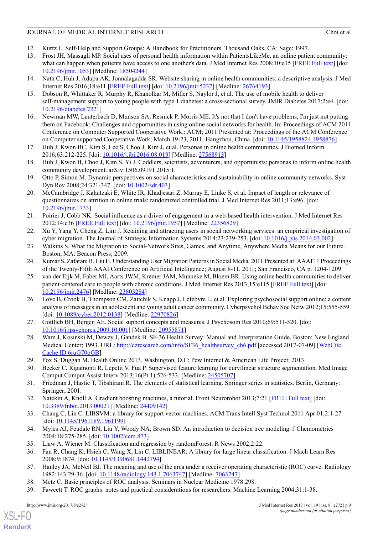- <span id="page-8-1"></span><span id="page-8-0"></span>12. Kurtz L. Self-Help and Support Groups: A Handbook for Practitioners. Thousand Oaks, CA: Sage; 1997.
- 13. Frost JH, Massagli MP. Social uses of personal health information within PatientsLikeMe, an online patient community: what can happen when patients have access to one another's data. J Med Internet Res 2008;10:e15 [\[FREE Full text\]](http://www.jmir.org/2008/3/e15/) [doi: [10.2196/jmir.1053](http://dx.doi.org/10.2196/jmir.1053)] [Medline: [18504244](http://www.ncbi.nlm.nih.gov/entrez/query.fcgi?cmd=Retrieve&db=PubMed&list_uids=18504244&dopt=Abstract)]
- <span id="page-8-3"></span><span id="page-8-2"></span>14. Nath C, Huh J, Adupa AK, Jonnalagadda SR. Website sharing in online health communities: a descriptive analysis. J Med Internet Res 2016;18:e11 [[FREE Full text\]](http://www.jmir.org/2016/1/e11/) [doi: [10.2196/jmir.5237](http://dx.doi.org/10.2196/jmir.5237)] [Medline: [26764193](http://www.ncbi.nlm.nih.gov/entrez/query.fcgi?cmd=Retrieve&db=PubMed&list_uids=26764193&dopt=Abstract)]
- <span id="page-8-4"></span>15. Dobson R, Whittaker R, Murphy R, Khanolkar M, Miller S, Naylor J, et al. The use of mobile health to deliver self-management support to young people with type 1 diabetes: a cross-sectional survey. JMIR Diabetes 2017;2:e4. [doi: [10.2196/diabetes.7221](http://dx.doi.org/10.2196/diabetes.7221)]
- 16. Newman MW, Lauterbach D, Munson SA, Resnick P, Morris ME. It's not that I don't have problems, I'm just not putting them on Facebook: Challenges and opportunities in using online social networks for health. In: Proceedings of ACM 2011 Conference on Computer Supported Cooperative Work.: ACM; 2011 Presented at: Proceedings of the ACM Conference on Computer supported Cooperative Work; March 19-23, 2011; Hangzhou, China. [doi: [10.1145/1958824.1958876\]](http://dx.doi.org/10.1145/1958824.1958876)
- <span id="page-8-6"></span><span id="page-8-5"></span>17. Huh J, Kwon BC, Kim S, Lee S, Choo J, Kim J, et al. Personas in online health communities. J Biomed Inform 2016;63:212-225. [doi: [10.1016/j.jbi.2016.08.019](http://dx.doi.org/10.1016/j.jbi.2016.08.019)] [Medline: [27568913](http://www.ncbi.nlm.nih.gov/entrez/query.fcgi?cmd=Retrieve&db=PubMed&list_uids=27568913&dopt=Abstract)]
- <span id="page-8-7"></span>18. Huh J, Kwon B, Choo J, Kim S, Yi J. Coddlers, scientists, adventurers, and opportunists: personas to inform online health community development. arXiv:1506.09191 2015:1.
- <span id="page-8-8"></span>19. Otto P, Simon M. Dynamic perspectives on social characteristics and sustainability in online community networks. Syst Dyn Rev 2008;24:321-347. [doi: [10.1002/sdr.403](http://dx.doi.org/10.1002/sdr.403)]
- <span id="page-8-9"></span>20. McCambridge J, Kalaitzaki E, White IR, Khadjesari Z, Murray E, Linke S, et al. Impact of length or relevance of questionnaires on attrition in online trials: randomized controlled trial. J Med Internet Res 2011;13:e96. [doi: [10.2196/jmir.1733](http://dx.doi.org/10.2196/jmir.1733)]
- <span id="page-8-10"></span>21. Poirier J, Cobb NK. Social influence as a driver of engagement in a web-based health intervention. J Med Internet Res 2012;14:e36 [\[FREE Full text\]](http://www.jmir.org/2012/1/e36/) [doi: [10.2196/jmir.1957\]](http://dx.doi.org/10.2196/jmir.1957) [Medline: [22356829\]](http://www.ncbi.nlm.nih.gov/entrez/query.fcgi?cmd=Retrieve&db=PubMed&list_uids=22356829&dopt=Abstract)
- <span id="page-8-11"></span>22. Xu Y, Yang Y, Cheng Z, Lim J. Retaining and attracting users in social networking services: an empirical investigation of cyber migration. The Journal of Strategic Information Systems 2014;23:239-253. [doi: [10.1016/j.jsis.2014.03.002\]](http://dx.doi.org/10.1016/j.jsis.2014.03.002)
- <span id="page-8-12"></span>23. Watkins S. What the Migration to Social-Network Sites, Games, and Anytime, Anywhere Media Means for our Future. Boston, MA: Beacon Press; 2009.
- 24. Kumar S, Zafarani R, Liu H. Understanding User Migration Patterns in Social Media. 2011 Presented at: AAAI'11 Proceedings of the Twenty-Fifth AAAI Conference on Artificial Intelligence; August 8-11, 2011; San Francisco, CA p. 1204-1209.
- <span id="page-8-13"></span>25. van der Eijk M, Faber MJ, Aarts JWM, Kremer JAM, Munneke M, Bloem BR. Using online health communities to deliver patient-centered care to people with chronic conditions. J Med Internet Res 2013;15:e115 [[FREE Full text](http://www.jmir.org/2013/6/e115/)] [doi: [10.2196/jmir.2476](http://dx.doi.org/10.2196/jmir.2476)] [Medline: [23803284](http://www.ncbi.nlm.nih.gov/entrez/query.fcgi?cmd=Retrieve&db=PubMed&list_uids=23803284&dopt=Abstract)]
- <span id="page-8-15"></span><span id="page-8-14"></span>26. Love B, Crook B, Thompson CM, Zaitchik S, Knapp J, Lefebvre L, et al. Exploring psychosocial support online: a content analysis of messages in an adolescent and young adult cancer community. Cyberpsychol Behav Soc Netw 2012;15:555-559. [doi: [10.1089/cyber.2012.0138\]](http://dx.doi.org/10.1089/cyber.2012.0138) [Medline: [22970826\]](http://www.ncbi.nlm.nih.gov/entrez/query.fcgi?cmd=Retrieve&db=PubMed&list_uids=22970826&dopt=Abstract)
- <span id="page-8-16"></span>27. Gottlieb BH, Bergen AE. Social support concepts and measures. J Psychosom Res 2010;69:511-520. [doi: [10.1016/j.jpsychores.2009.10.001](http://dx.doi.org/10.1016/j.jpsychores.2009.10.001)] [Medline: [20955871](http://www.ncbi.nlm.nih.gov/entrez/query.fcgi?cmd=Retrieve&db=PubMed&list_uids=20955871&dopt=Abstract)]
- <span id="page-8-26"></span><span id="page-8-17"></span>28. Ware J, Kosinski M, Dewey J, Gandek B. SF-36 Health Survey: Manual and Interpretation Guide. Boston: New England Medical Center; 1993. URL: [http://czresearch.com/info/SF36\\_healthsurvey\\_ch6.pdf](http://czresearch.com/info/SF36_healthsurvey_ch6.pdf) [accessed 2017-07-09] [[WebCite](http://www.webcitation.org/6rqG70oGB) [Cache ID 6rqG70oGB](http://www.webcitation.org/6rqG70oGB)]
- <span id="page-8-18"></span>29. Fox S, Duggan M. Health Online 2013. Washington, D.C: Pew Internet & American Life Project; 2013.
- <span id="page-8-19"></span>30. Becker C, Rigamonti R, Lepetit V, Fua P. Supervised feature learning for curvilinear structure segmentation. Med Image Comput Comput Assist Interv 2013;16(Pt 1):526-533. [Medline: [24505707\]](http://www.ncbi.nlm.nih.gov/entrez/query.fcgi?cmd=Retrieve&db=PubMed&list_uids=24505707&dopt=Abstract)
- <span id="page-8-20"></span>31. Friedman J, Hastie T, Tibshirani R. The elements of statistical learning. Springer series in statistics. Berlin, Germany: Springer; 2001.
- <span id="page-8-21"></span>32. Natekin A, Knoll A. Gradient boosting machines, a tutorial. Front Neurorobot 2013;7:21 [\[FREE Full text\]](https://dx.doi.org/10.3389/fnbot.2013.00021) [doi: [10.3389/fnbot.2013.00021\]](http://dx.doi.org/10.3389/fnbot.2013.00021) [Medline: [24409142\]](http://www.ncbi.nlm.nih.gov/entrez/query.fcgi?cmd=Retrieve&db=PubMed&list_uids=24409142&dopt=Abstract)
- <span id="page-8-23"></span><span id="page-8-22"></span>33. Chang C, Lin C. LIBSVM: a library for support vector machines. ACM Trans Intell Syst Technol 2011 Apr 01;2:1-27. [doi: [10.1145/1961189.1961199](http://dx.doi.org/10.1145/1961189.1961199)]
- <span id="page-8-24"></span>34. Myles AJ, Feudale RN, Liu Y, Woody NA, Brown SD. An introduction to decision tree modeling. J Chemometrics 2004;18:275-285. [doi: [10.1002/cem.873](http://dx.doi.org/10.1002/cem.873)]
- <span id="page-8-25"></span>35. Liaw A, Wiener M. Classification and regression by randomForest. R News 2002;2:22.
- 36. Fan R, Chang K, Hsieh C, Wang X, Lin C. LIBLINEAR: A library for large linear classification. J Mach Learn Res 2008;9:1874. [doi: [10.1145/1390681.1442794\]](http://dx.doi.org/10.1145/1390681.1442794)
- 37. Hanley JA, McNeil BJ. The meaning and use of the area under a receiver operating characteristic (ROC) curve. Radiology 1982;143:29-36. [doi: [10.1148/radiology.143.1.7063747\]](http://dx.doi.org/10.1148/radiology.143.1.7063747) [Medline: [7063747](http://www.ncbi.nlm.nih.gov/entrez/query.fcgi?cmd=Retrieve&db=PubMed&list_uids=7063747&dopt=Abstract)]
- 38. Metz C. Basic principles of ROC analysis. Seminars in Nuclear Medicine 1978:298.
- 39. Fawcett T. ROC graphs: notes and practical considerations for researchers. Machine Learning 2004;31:1-38.

 $XS$  $\cdot$ FC **[RenderX](http://www.renderx.com/)**